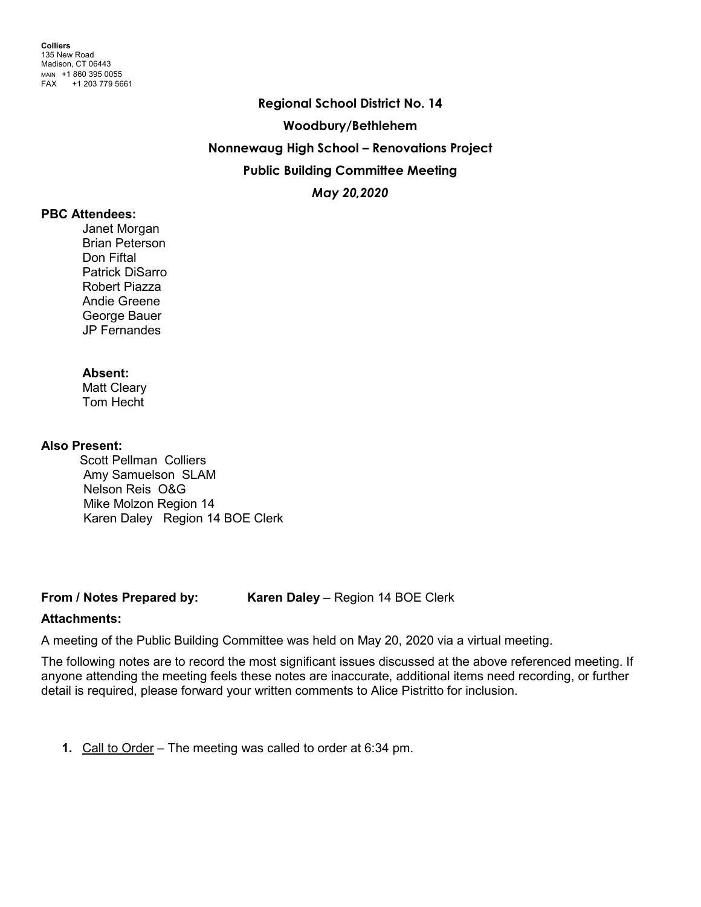**Regional School District No. 14 Woodbury/Bethlehem Nonnewaug High School – Renovations Project Public Building Committee Meeting** *May 20,2020*

#### **PBC Attendees:**

Janet Morgan Brian Peterson Don Fiftal Patrick DiSarro Robert Piazza Andie Greene George Bauer JP Fernandes

# **Absent:**

Matt Cleary Tom Hecht

#### **Also Present:**

Scott Pellman Colliers Amy Samuelson SLAM Nelson Reis O&G Mike Molzon Region 14 Karen Daley Region 14 BOE Clerk

**From / Notes Prepared by: Karen Daley** – Region 14 BOE Clerk

# **Attachments:**

A meeting of the Public Building Committee was held on May 20, 2020 via a virtual meeting.

The following notes are to record the most significant issues discussed at the above referenced meeting. If anyone attending the meeting feels these notes are inaccurate, additional items need recording, or further detail is required, please forward your written comments to Alice Pistritto for inclusion.

**1.** Call to Order – The meeting was called to order at 6:34 pm.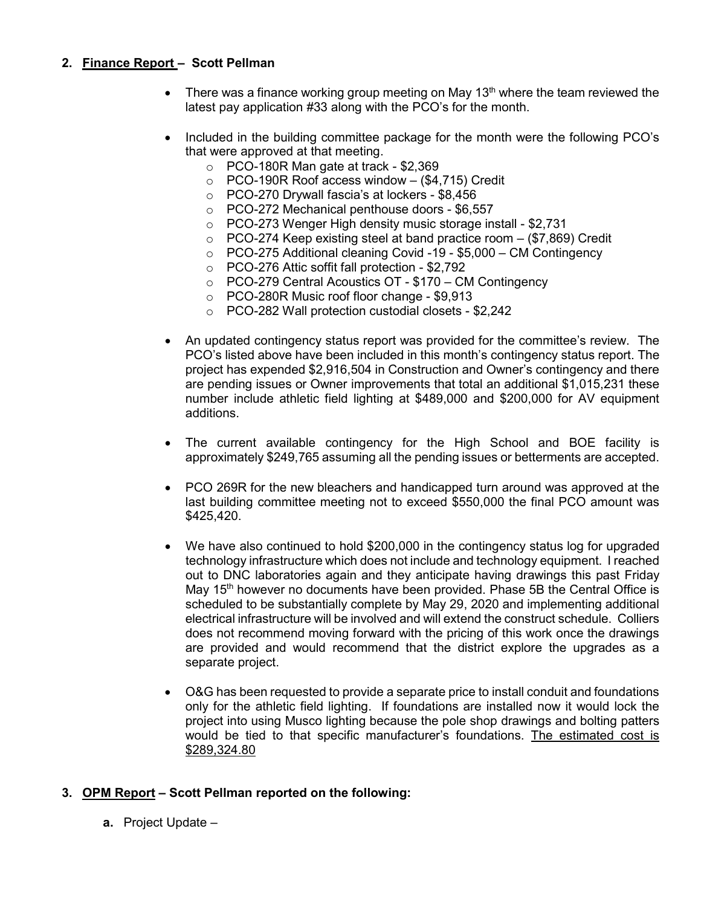# **2. Finance Report – Scott Pellman**

- There was a finance working group meeting on May 13<sup>th</sup> where the team reviewed the latest pay application #33 along with the PCO's for the month.
- Included in the building committee package for the month were the following PCO's that were approved at that meeting.
	- o PCO-180R Man gate at track \$2,369
	- o PCO-190R Roof access window (\$4,715) Credit
	- o PCO-270 Drywall fascia's at lockers \$8,456
	- o PCO-272 Mechanical penthouse doors \$6,557
	- o PCO-273 Wenger High density music storage install \$2,731
	- $\circ$  PCO-274 Keep existing steel at band practice room  $-$  (\$7,869) Credit
	- o PCO-275 Additional cleaning Covid -19 \$5,000 CM Contingency
	- o PCO-276 Attic soffit fall protection \$2,792
	- o PCO-279 Central Acoustics OT \$170 CM Contingency
	- o PCO-280R Music roof floor change \$9,913
	- o PCO-282 Wall protection custodial closets \$2,242
- An updated contingency status report was provided for the committee's review. The PCO's listed above have been included in this month's contingency status report. The project has expended \$2,916,504 in Construction and Owner's contingency and there are pending issues or Owner improvements that total an additional \$1,015,231 these number include athletic field lighting at \$489,000 and \$200,000 for AV equipment additions.
- The current available contingency for the High School and BOE facility is approximately \$249,765 assuming all the pending issues or betterments are accepted.
- PCO 269R for the new bleachers and handicapped turn around was approved at the last building committee meeting not to exceed \$550,000 the final PCO amount was \$425,420.
- We have also continued to hold \$200,000 in the contingency status log for upgraded technology infrastructure which does not include and technology equipment. I reached out to DNC laboratories again and they anticipate having drawings this past Friday May 15<sup>th</sup> however no documents have been provided. Phase 5B the Central Office is scheduled to be substantially complete by May 29, 2020 and implementing additional electrical infrastructure will be involved and will extend the construct schedule. Colliers does not recommend moving forward with the pricing of this work once the drawings are provided and would recommend that the district explore the upgrades as a separate project.
- O&G has been requested to provide a separate price to install conduit and foundations only for the athletic field lighting. If foundations are installed now it would lock the project into using Musco lighting because the pole shop drawings and bolting patters would be tied to that specific manufacturer's foundations. The estimated cost is \$289,324.80

# **3. OPM Report – Scott Pellman reported on the following:**

**a.** Project Update –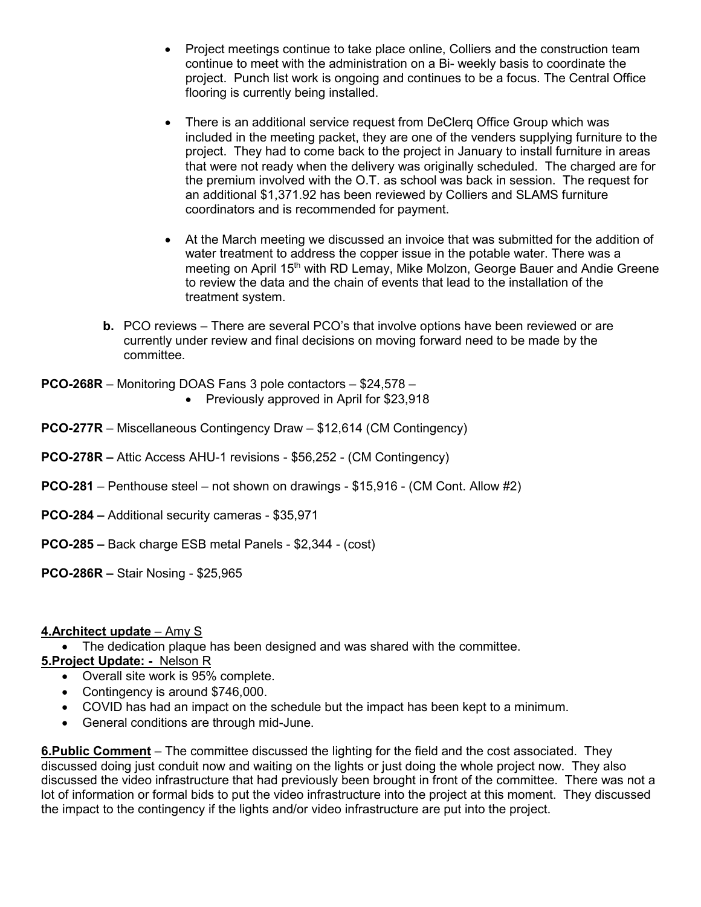- Project meetings continue to take place online, Colliers and the construction team continue to meet with the administration on a Bi- weekly basis to coordinate the project. Punch list work is ongoing and continues to be a focus. The Central Office flooring is currently being installed.
- There is an additional service request from DeClerq Office Group which was included in the meeting packet, they are one of the venders supplying furniture to the project. They had to come back to the project in January to install furniture in areas that were not ready when the delivery was originally scheduled. The charged are for the premium involved with the O.T. as school was back in session. The request for an additional \$1,371.92 has been reviewed by Colliers and SLAMS furniture coordinators and is recommended for payment.
- At the March meeting we discussed an invoice that was submitted for the addition of water treatment to address the copper issue in the potable water. There was a meeting on April 15<sup>th</sup> with RD Lemay, Mike Molzon, George Bauer and Andie Greene to review the data and the chain of events that lead to the installation of the treatment system.
- **b.** PCO reviews There are several PCO's that involve options have been reviewed or are currently under review and final decisions on moving forward need to be made by the committee.

**PCO-268R** – Monitoring DOAS Fans 3 pole contactors – \$24,578 –

- Previously approved in April for \$23,918
- **PCO-277R** Miscellaneous Contingency Draw \$12,614 (CM Contingency)
- **PCO-278R –** Attic Access AHU-1 revisions \$56,252 (CM Contingency)
- **PCO-281** Penthouse steel not shown on drawings \$15,916 (CM Cont. Allow #2)
- **PCO-284 –** Additional security cameras \$35,971
- **PCO-285 –** Back charge ESB metal Panels \$2,344 (cost)

**PCO-286R –** Stair Nosing - \$25,965

# **4.Architect update** – Amy S

• The dedication plaque has been designed and was shared with the committee.

# **5.Project Update: -** Nelson R

- Overall site work is 95% complete.
- Contingency is around \$746,000.
- COVID has had an impact on the schedule but the impact has been kept to a minimum.
- General conditions are through mid-June.

**6.Public Comment** – The committee discussed the lighting for the field and the cost associated. They discussed doing just conduit now and waiting on the lights or just doing the whole project now. They also discussed the video infrastructure that had previously been brought in front of the committee. There was not a lot of information or formal bids to put the video infrastructure into the project at this moment. They discussed the impact to the contingency if the lights and/or video infrastructure are put into the project.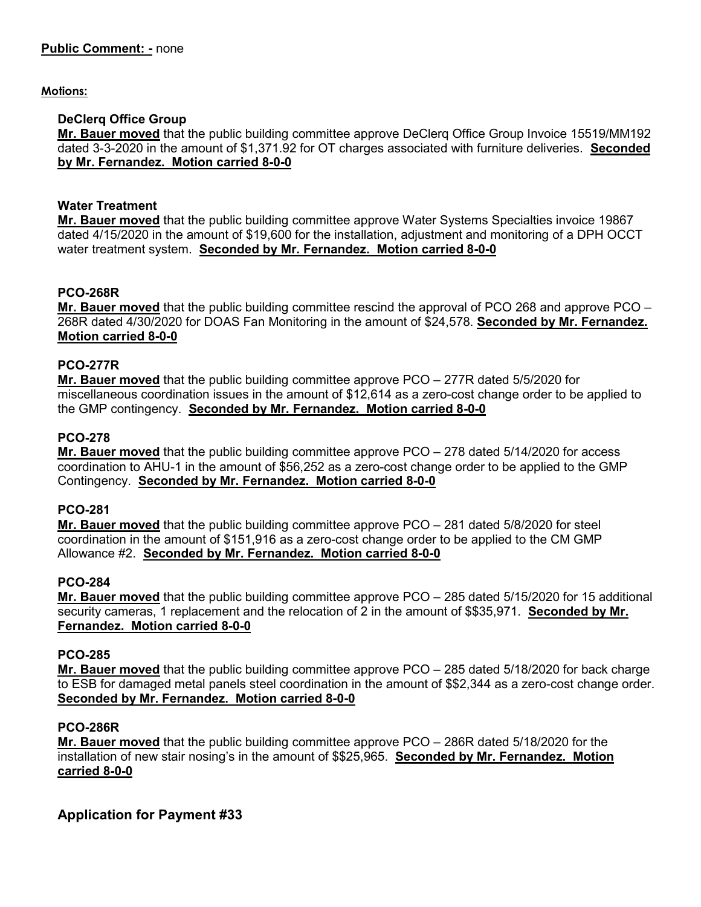# **Motions:**

# **DeClerq Office Group**

**Mr. Bauer moved** that the public building committee approve DeClerq Office Group Invoice 15519/MM192 dated 3-3-2020 in the amount of \$1,371.92 for OT charges associated with furniture deliveries. **Seconded by Mr. Fernandez. Motion carried 8-0-0**

# **Water Treatment**

**Mr. Bauer moved** that the public building committee approve Water Systems Specialties invoice 19867 dated 4/15/2020 in the amount of \$19,600 for the installation, adjustment and monitoring of a DPH OCCT water treatment system. **Seconded by Mr. Fernandez. Motion carried 8-0-0**

# **PCO-268R**

**Mr. Bauer moved** that the public building committee rescind the approval of PCO 268 and approve PCO – 268R dated 4/30/2020 for DOAS Fan Monitoring in the amount of \$24,578. **Seconded by Mr. Fernandez. Motion carried 8-0-0**

# **PCO-277R**

**Mr. Bauer moved** that the public building committee approve PCO – 277R dated 5/5/2020 for miscellaneous coordination issues in the amount of \$12,614 as a zero-cost change order to be applied to the GMP contingency. **Seconded by Mr. Fernandez. Motion carried 8-0-0**

# **PCO-278**

**Mr. Bauer moved** that the public building committee approve PCO – 278 dated 5/14/2020 for access coordination to AHU-1 in the amount of \$56,252 as a zero-cost change order to be applied to the GMP Contingency. **Seconded by Mr. Fernandez. Motion carried 8-0-0**

# **PCO-281**

**Mr. Bauer moved** that the public building committee approve PCO – 281 dated 5/8/2020 for steel coordination in the amount of \$151,916 as a zero-cost change order to be applied to the CM GMP Allowance #2. **Seconded by Mr. Fernandez. Motion carried 8-0-0**

# **PCO-284**

**Mr. Bauer moved** that the public building committee approve PCO – 285 dated 5/15/2020 for 15 additional security cameras, 1 replacement and the relocation of 2 in the amount of \$\$35,971. **Seconded by Mr. Fernandez. Motion carried 8-0-0**

# **PCO-285**

**Mr. Bauer moved** that the public building committee approve PCO – 285 dated 5/18/2020 for back charge to ESB for damaged metal panels steel coordination in the amount of \$\$2,344 as a zero-cost change order. **Seconded by Mr. Fernandez. Motion carried 8-0-0**

# **PCO-286R**

**Mr. Bauer moved** that the public building committee approve PCO – 286R dated 5/18/2020 for the installation of new stair nosing's in the amount of \$\$25,965. **Seconded by Mr. Fernandez. Motion carried 8-0-0**

**Application for Payment #33**